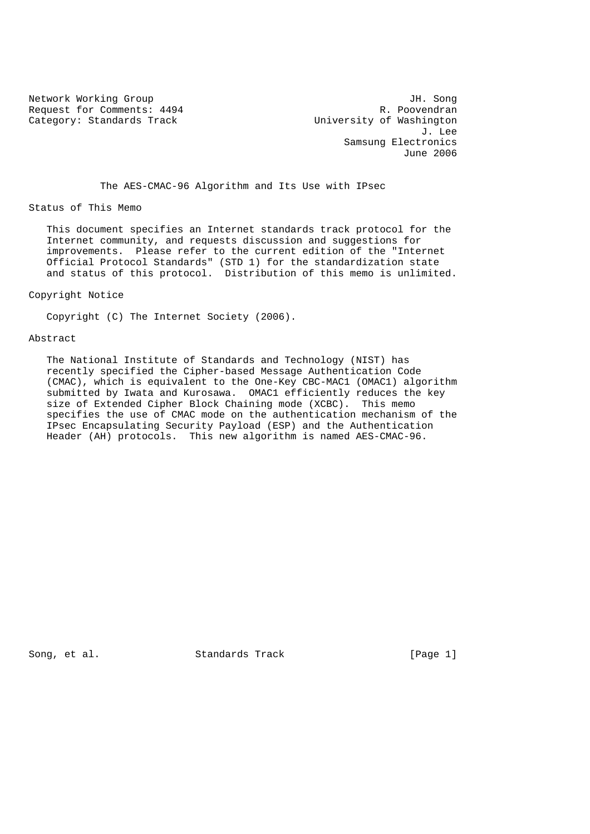Request for Comments: 4494 R. Poovendran<br>
Category: Standards Track Category: Standards Track Category: Standards Track

Network Working Group and TH. Song<br>
Request for Comments: 4494 1994 1. Poovendran J. Lee Samsung Electronics June 2006

The AES-CMAC-96 Algorithm and Its Use with IPsec

Status of This Memo

 This document specifies an Internet standards track protocol for the Internet community, and requests discussion and suggestions for improvements. Please refer to the current edition of the "Internet Official Protocol Standards" (STD 1) for the standardization state and status of this protocol. Distribution of this memo is unlimited.

Copyright Notice

Copyright (C) The Internet Society (2006).

Abstract

 The National Institute of Standards and Technology (NIST) has recently specified the Cipher-based Message Authentication Code (CMAC), which is equivalent to the One-Key CBC-MAC1 (OMAC1) algorithm submitted by Iwata and Kurosawa. OMAC1 efficiently reduces the key size of Extended Cipher Block Chaining mode (XCBC). This memo specifies the use of CMAC mode on the authentication mechanism of the IPsec Encapsulating Security Payload (ESP) and the Authentication Header (AH) protocols. This new algorithm is named AES-CMAC-96.

Song, et al. Standards Track [Page 1]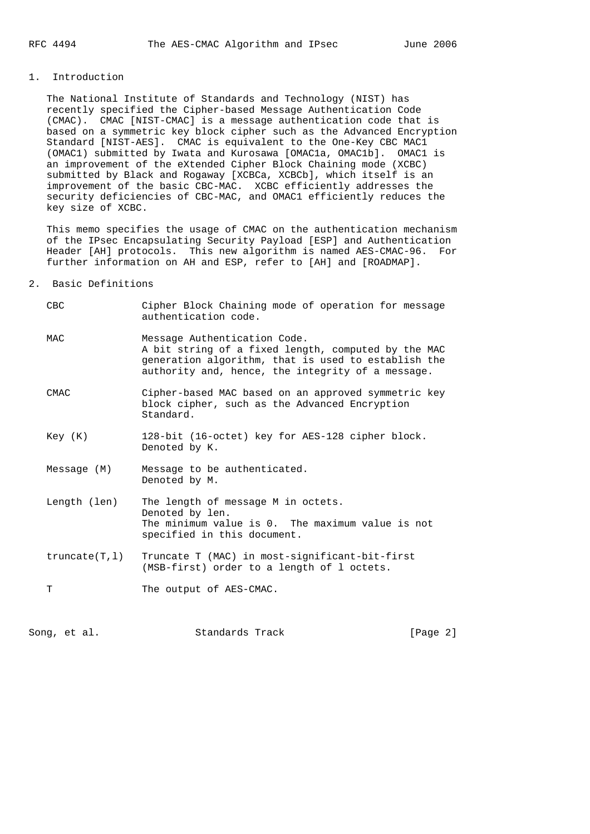## 1. Introduction

 The National Institute of Standards and Technology (NIST) has recently specified the Cipher-based Message Authentication Code (CMAC). CMAC [NIST-CMAC] is a message authentication code that is based on a symmetric key block cipher such as the Advanced Encryption Standard [NIST-AES]. CMAC is equivalent to the One-Key CBC MAC1 (OMAC1) submitted by Iwata and Kurosawa [OMAC1a, OMAC1b]. OMAC1 is an improvement of the eXtended Cipher Block Chaining mode (XCBC) submitted by Black and Rogaway [XCBCa, XCBCb], which itself is an improvement of the basic CBC-MAC. XCBC efficiently addresses the security deficiencies of CBC-MAC, and OMAC1 efficiently reduces the key size of XCBC.

 This memo specifies the usage of CMAC on the authentication mechanism of the IPsec Encapsulating Security Payload [ESP] and Authentication Header [AH] protocols. This new algorithm is named AES-CMAC-96. For further information on AH and ESP, refer to [AH] and [ROADMAP].

## 2. Basic Definitions

| CBC            | Cipher Block Chaining mode of operation for message<br>authentication code.                                                                                                                     |
|----------------|-------------------------------------------------------------------------------------------------------------------------------------------------------------------------------------------------|
| MAC            | Message Authentication Code.<br>A bit string of a fixed length, computed by the MAC<br>generation algorithm, that is used to establish the<br>authority and, hence, the integrity of a message. |
| <b>CMAC</b>    | Cipher-based MAC based on an approved symmetric key<br>block cipher, such as the Advanced Encryption<br>Standard.                                                                               |
| Key (K)        | 128-bit (16-octet) key for AES-128 cipher block.<br>Denoted by K.                                                                                                                               |
| Message (M)    | Message to be authenticated.<br>Denoted by M.                                                                                                                                                   |
| Length (len)   | The length of message M in octets.<br>Denoted by len.<br>The minimum value is 0. The maximum value is not<br>specified in this document.                                                        |
| truncated(T,1) | Truncate T (MAC) in most-significant-bit-first<br>(MSB-first) order to a length of 1 octets.                                                                                                    |
| T              | The output of AES-CMAC.                                                                                                                                                                         |

Song, et al. Standards Track [Page 2]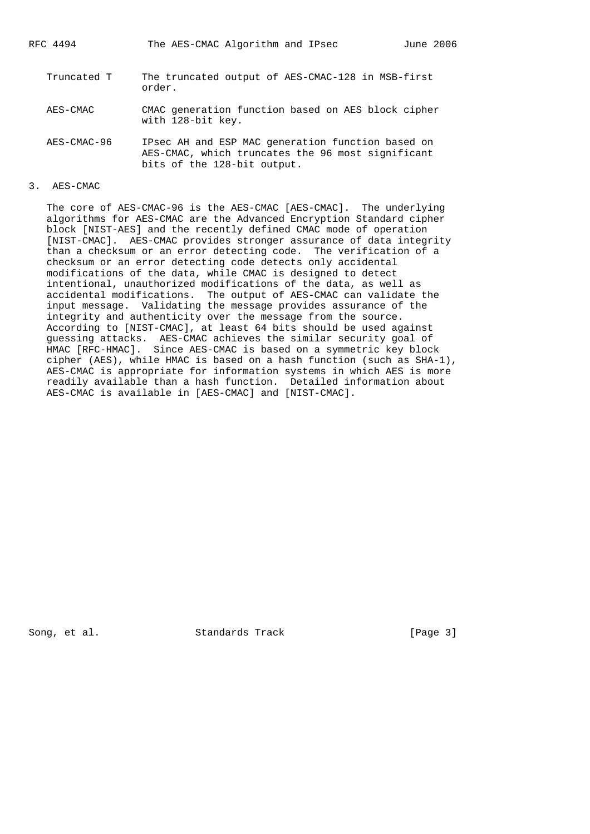RFC 4494 The AES-CMAC Algorithm and IPsec June 2006

- Truncated T The truncated output of AES-CMAC-128 in MSB-first order.
- AES-CMAC CMAC generation function based on AES block cipher with 128-bit key.
- AES-CMAC-96 IPsec AH and ESP MAC generation function based on AES-CMAC, which truncates the 96 most significant bits of the 128-bit output.
- 3. AES-CMAC

 The core of AES-CMAC-96 is the AES-CMAC [AES-CMAC]. The underlying algorithms for AES-CMAC are the Advanced Encryption Standard cipher block [NIST-AES] and the recently defined CMAC mode of operation [NIST-CMAC]. AES-CMAC provides stronger assurance of data integrity than a checksum or an error detecting code. The verification of a checksum or an error detecting code detects only accidental modifications of the data, while CMAC is designed to detect intentional, unauthorized modifications of the data, as well as accidental modifications. The output of AES-CMAC can validate the input message. Validating the message provides assurance of the integrity and authenticity over the message from the source. According to [NIST-CMAC], at least 64 bits should be used against guessing attacks. AES-CMAC achieves the similar security goal of HMAC [RFC-HMAC]. Since AES-CMAC is based on a symmetric key block cipher (AES), while HMAC is based on a hash function (such as SHA-1), AES-CMAC is appropriate for information systems in which AES is more readily available than a hash function. Detailed information about AES-CMAC is available in [AES-CMAC] and [NIST-CMAC].

Song, et al. Standards Track [Page 3]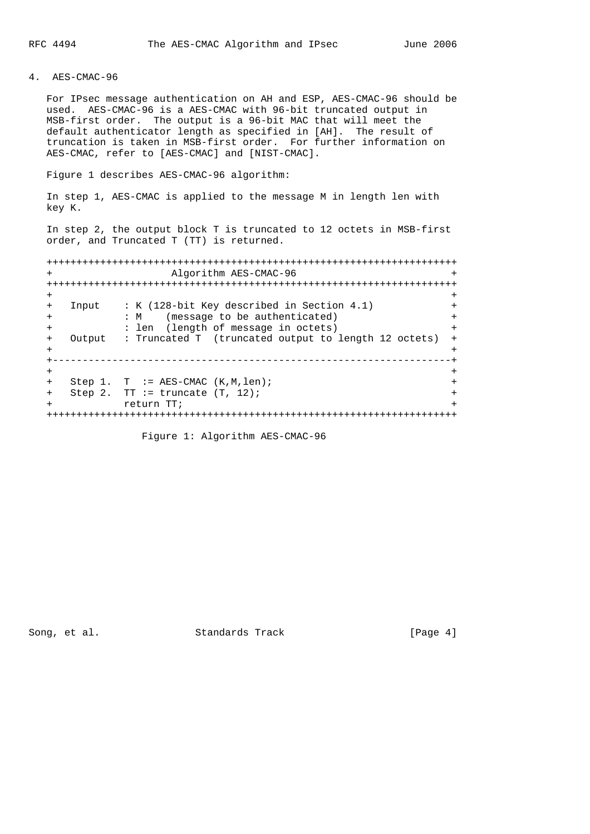# 4. AES-CMAC-96

 For IPsec message authentication on AH and ESP, AES-CMAC-96 should be used. AES-CMAC-96 is a AES-CMAC with 96-bit truncated output in MSB-first order. The output is a 96-bit MAC that will meet the default authenticator length as specified in [AH]. The result of truncation is taken in MSB-first order. For further information on AES-CMAC, refer to [AES-CMAC] and [NIST-CMAC].

Figure 1 describes AES-CMAC-96 algorithm:

 In step 1, AES-CMAC is applied to the message M in length len with key K.

 In step 2, the output block T is truncated to 12 octets in MSB-first order, and Truncated T (TT) is returned.

 +++++++++++++++++++++++++++++++++++++++++++++++++++++++++++++++++++++ + Algorithm AES-CMAC-96 + +++++++++++++++++++++++++++++++++++++++++++++++++++++++++++++++++++++ + + + Input : K (128-bit Key described in Section 4.1) + + : M (message to be authenticated) + + : len (length of message in octets) + + Output : Truncated T (truncated output to length 12 octets) + + + +-------------------------------------------------------------------+ + + + Step 1. T := AES-CMAC (K,M,len); + + Step 2. TT := truncate  $(T, 12)$ ; + + return TT; + +++++++++++++++++++++++++++++++++++++++++++++++++++++++++++++++++++++

Figure 1: Algorithm AES-CMAC-96

Song, et al. Standards Track [Page 4]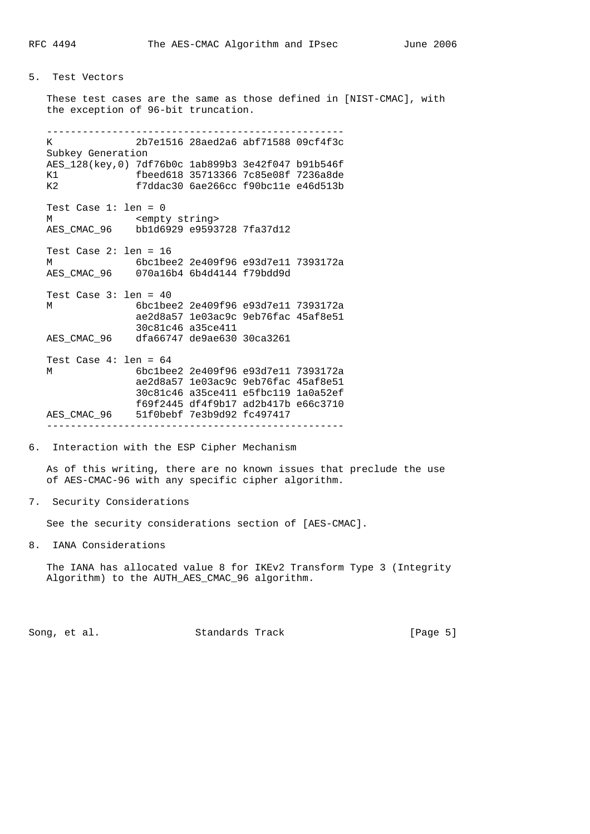## 5. Test Vectors

 These test cases are the same as those defined in [NIST-CMAC], with the exception of 96-bit truncation. -------------------------------------------------- K 2b7e1516 28aed2a6 abf71588 09cf4f3c Subkey Generation AES\_128(key,0) 7df76b0c 1ab899b3 3e42f047 b91b546f K1 fbeed618 35713366 7c85e08f 7236a8de K2 f7ddac30 6ae266cc f90bc11e e46d513b Test Case 1: len = 0 M <empty string> AES CMAC 96 bb1d6929 e9593728 7fa37d12 Test Case 2: len = 16 M 6bc1bee2 2e409f96 e93d7e11 7393172a AES\_CMAC\_96 070a16b4 6b4d4144 f79bdd9d Test Case 3: len = 40 M 6bc1bee2 2e409f96 e93d7e11 7393172a ae2d8a57 1e03ac9c 9eb76fac 45af8e51 30c81c46 a35ce411 AES\_CMAC\_96 dfa66747 de9ae630 30ca3261 Test Case 4: len = 64 M 6bc1bee2 2e409f96 e93d7e11 7393172a ae2d8a57 1e03ac9c 9eb76fac 45af8e51 30c81c46 a35ce411 e5fbc119 1a0a52ef f69f2445 df4f9b17 ad2b417b e66c3710 AES\_CMAC\_96 51f0bebf 7e3b9d92 fc497417

--------------------------------------------------

### 6. Interaction with the ESP Cipher Mechanism

 As of this writing, there are no known issues that preclude the use of AES-CMAC-96 with any specific cipher algorithm.

7. Security Considerations

See the security considerations section of [AES-CMAC].

8. IANA Considerations

 The IANA has allocated value 8 for IKEv2 Transform Type 3 (Integrity Algorithm) to the AUTH\_AES\_CMAC\_96 algorithm.

Song, et al. Standards Track [Page 5]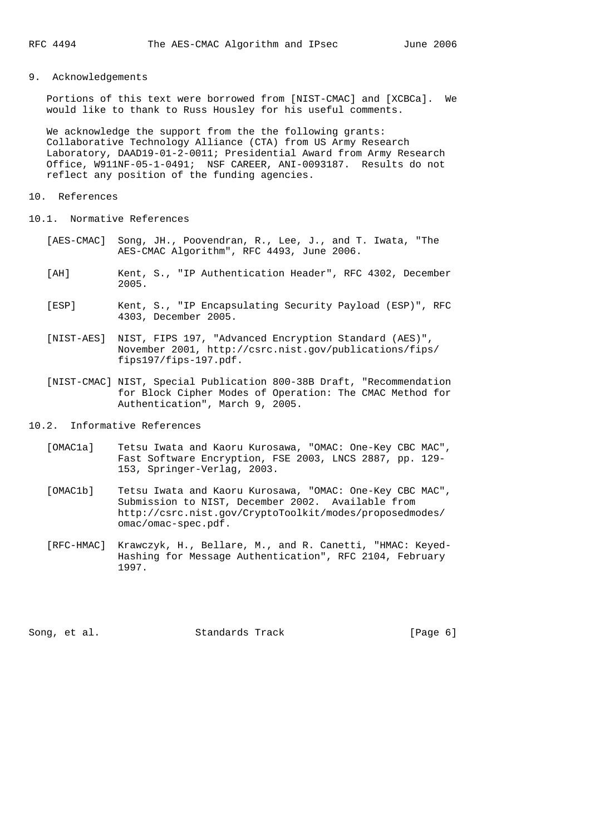## 9. Acknowledgements

 Portions of this text were borrowed from [NIST-CMAC] and [XCBCa]. We would like to thank to Russ Housley for his useful comments.

 We acknowledge the support from the the following grants: Collaborative Technology Alliance (CTA) from US Army Research Laboratory, DAAD19-01-2-0011; Presidential Award from Army Research Office, W911NF-05-1-0491; NSF CAREER, ANI-0093187. Results do not reflect any position of the funding agencies.

#### 10. References

- 10.1. Normative References
	- [AES-CMAC] Song, JH., Poovendran, R., Lee, J., and T. Iwata, "The AES-CMAC Algorithm", RFC 4493, June 2006.
	- [AH] Kent, S., "IP Authentication Header", RFC 4302, December 2005.
	- [ESP] Kent, S., "IP Encapsulating Security Payload (ESP)", RFC 4303, December 2005.
	- [NIST-AES] NIST, FIPS 197, "Advanced Encryption Standard (AES)", November 2001, http://csrc.nist.gov/publications/fips/ fips197/fips-197.pdf.
	- [NIST-CMAC] NIST, Special Publication 800-38B Draft, "Recommendation for Block Cipher Modes of Operation: The CMAC Method for Authentication", March 9, 2005.

### 10.2. Informative References

- [OMAC1a] Tetsu Iwata and Kaoru Kurosawa, "OMAC: One-Key CBC MAC", Fast Software Encryption, FSE 2003, LNCS 2887, pp. 129- 153, Springer-Verlag, 2003.
- [OMAC1b] Tetsu Iwata and Kaoru Kurosawa, "OMAC: One-Key CBC MAC", Submission to NIST, December 2002. Available from http://csrc.nist.gov/CryptoToolkit/modes/proposedmodes/ omac/omac-spec.pdf.
- [RFC-HMAC] Krawczyk, H., Bellare, M., and R. Canetti, "HMAC: Keyed- Hashing for Message Authentication", RFC 2104, February 1997.

Song, et al. Standards Track [Page 6]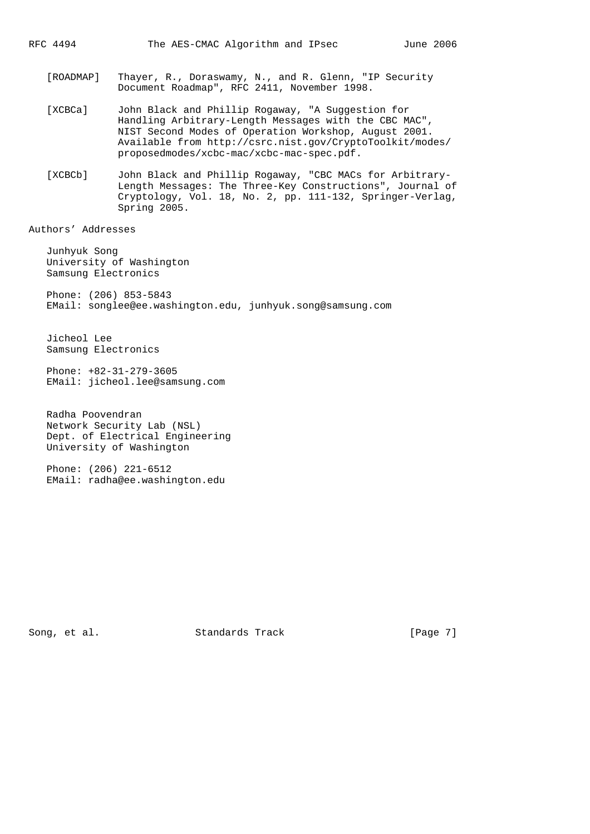- [ROADMAP] Thayer, R., Doraswamy, N., and R. Glenn, "IP Security Document Roadmap", RFC 2411, November 1998.
- [XCBCa] John Black and Phillip Rogaway, "A Suggestion for Handling Arbitrary-Length Messages with the CBC MAC", NIST Second Modes of Operation Workshop, August 2001. Available from http://csrc.nist.gov/CryptoToolkit/modes/ proposedmodes/xcbc-mac/xcbc-mac-spec.pdf.
- [XCBCb] John Black and Phillip Rogaway, "CBC MACs for Arbitrary- Length Messages: The Three-Key Constructions", Journal of Cryptology, Vol. 18, No. 2, pp. 111-132, Springer-Verlag, Spring 2005.

Authors' Addresses

 Junhyuk Song University of Washington Samsung Electronics Phone: (206) 853-5843

EMail: songlee@ee.washington.edu, junhyuk.song@samsung.com

 Jicheol Lee Samsung Electronics

 Phone: +82-31-279-3605 EMail: jicheol.lee@samsung.com

 Radha Poovendran Network Security Lab (NSL) Dept. of Electrical Engineering University of Washington

 Phone: (206) 221-6512 EMail: radha@ee.washington.edu

Song, et al. Standards Track [Page 7]